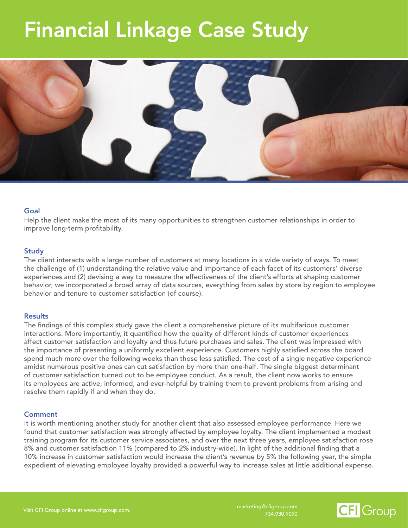## Financial Linkage Case Study



#### Goal

Help the client make the most of its many opportunities to strengthen customer relationships in order to improve long-term profitability.

#### **Study**

The client interacts with a large number of customers at many locations in a wide variety of ways. To meet the challenge of (1) understanding the relative value and importance of each facet of its customers' diverse experiences and (2) devising a way to measure the effectiveness of the client's efforts at shaping customer behavior, we incorporated a broad array of data sources, everything from sales by store by region to employee behavior and tenure to customer satisfaction (of course).

#### **Results**

The findings of this complex study gave the client a comprehensive picture of its multifarious customer interactions. More importantly, it quantified how the quality of different kinds of customer experiences affect customer satisfaction and loyalty and thus future purchases and sales. The client was impressed with the importance of presenting a uniformly excellent experience. Customers highly satisfied across the board spend much more over the following weeks than those less satisfied. The cost of a single negative experience amidst numerous positive ones can cut satisfaction by more than one-half. The single biggest determinant of customer satisfaction turned out to be employee conduct. As a result, the client now works to ensure its employees are active, informed, and ever-helpful by training them to prevent problems from arising and resolve them rapidly if and when they do.

#### **Comment**

It is worth mentioning another study for another client that also assessed employee performance. Here we found that customer satisfaction was strongly affected by employee loyalty. The client implemented a modest training program for its customer service associates, and over the next three years, employee satisfaction rose 8% and customer satisfaction 11% (compared to 2% industry-wide). In light of the additional finding that a 10% increase in customer satisfaction would increase the client's revenue by 5% the following year, the simple expedient of elevating employee loyalty provided a powerful way to increase sales at little additional expense.